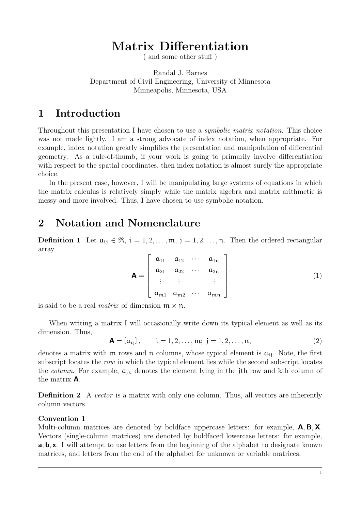# Matrix Differentiation

 $($  and some other stuff  $)$ 

Randal J. Barnes Department of Civil Engineering, University of Minnesota Minneapolis, Minnesota, USA

## 1 Introduction

Throughout this presentation I have chosen to use a *symbolic matrix notation*. This choice was not made lightly. I am a strong advocate of index notation, when appropriate. For example, index notation greatly simplifies the presentation and manipulation of differential geometry. As a rule-of-thumb, if your work is going to primarily involve differentiation with respect to the spatial coordinates, then index notation is almost surely the appropriate choice.

In the present case, however, I will be manipulating large systems of equations in which the matrix calculus is relatively simply while the matrix algebra and matrix arithmetic is messy and more involved. Thus, I have chosen to use symbolic notation.

## 2 Notation and Nomenclature

**Definition 1** Let  $a_{ij} \in \mathfrak{R}$ ,  $i = 1, 2, ..., m$ ,  $j = 1, 2, ..., n$ . Then the ordered rectangular array

$$
\mathbf{A} = \begin{bmatrix} a_{11} & a_{12} & \cdots & a_{1n} \\ a_{21} & a_{22} & \cdots & a_{2n} \\ \vdots & \vdots & & \vdots \\ a_{m1} & a_{m2} & \cdots & a_{mn} \end{bmatrix}
$$
 (1)

is said to be a real *matrix* of dimension  $m \times n$ .

When writing a matrix I will occasionally write down its typical element as well as its dimension. Thus,

$$
\mathbf{A} = [a_{ij}], \qquad i = 1, 2, ..., m; \ j = 1, 2, ..., n,
$$
 (2)

denotes a matrix with  $m$  rows and  $n$  columns, whose typical element is  $a_{ij}$ . Note, the first subscript locates the *row* in which the typical element lies while the second subscript locates the *column*. For example,  $a_{jk}$  denotes the element lying in the j<sup>th</sup> row and k<sup>th</sup> column of the matrix A.

**Definition 2** A *vector* is a matrix with only one column. Thus, all vectors are inherently column vectors.

### Convention 1

Multi-column matrices are denoted by boldface uppercase letters: for example,  $A, B, X$ . Vectors (single-column matrices) are denoted by boldfaced lowercase letters: for example, a, b, x. I will attempt to use letters from the beginning of the alphabet to designate known matrices, and letters from the end of the alphabet for unknown or variable matrices.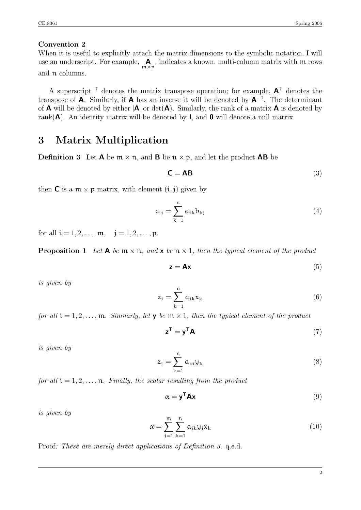### Convention 2

When it is useful to explicitly attach the matrix dimensions to the symbolic notation, I will use an underscript. For example, A  $m \times n$ , indicates a known, multi-column matrix with m rows and n columns.

A superscript  $\mathsf{\Gamma}$  denotes the matrix transpose operation; for example,  $\mathsf{A}^{\mathsf{\Gamma}}$  denotes the transpose of **A**. Similarly, if **A** has an inverse it will be denoted by  $A^{-1}$ . The determinant of **A** will be denoted by either  $|A|$  or  $\det(A)$ . Similarly, the rank of a matrix **A** is denoted by rank( $\mathbf{A}$ ). An identity matrix will be denoted by **I**, and **0** will denote a null matrix.

## 3 Matrix Multiplication

**Definition 3** Let **A** be  $m \times n$ , and **B** be  $n \times p$ , and let the product **AB** be

$$
C = AB
$$
 (3)

then **C** is a  $m \times p$  matrix, with element  $(i, j)$  given by

$$
c_{ij} = \sum_{k=1}^{n} a_{ik} b_{kj} \tag{4}
$$

for all  $i = 1, 2, ..., m$ ,  $j = 1, 2, ..., p$ .

**Proposition 1** Let  $\mathbf{A}$  be  $\mathbf{m} \times \mathbf{n}$ , and  $\mathbf{x}$  be  $\mathbf{n} \times 1$ , then the typical element of the product

$$
z = Ax \tag{5}
$$

*is given by*

$$
z_{i} = \sum_{k=1}^{n} a_{ik} x_{k}
$$
 (6)

*for all*  $i = 1, 2, ..., m$ *. Similarly, let*  $\mathbf{y}$  *be*  $m \times 1$ *, then the typical element of the product* 

$$
\mathbf{z}^{\mathrm{T}} = \mathbf{y}^{\mathrm{T}} \mathbf{A} \tag{7}
$$

*is given by*

$$
z_{i} = \sum_{k=1}^{n} a_{ki} y_{k}
$$
 (8)

*for all*  $i = 1, 2, \ldots, n$ *. Finally, the scalar resulting from the product* 

$$
\alpha = \mathbf{y}^{\mathsf{T}} \mathbf{A} \mathbf{x} \tag{9}
$$

*is given by*

$$
\alpha = \sum_{j=1}^{m} \sum_{k=1}^{n} a_{jk} y_j x_k \tag{10}
$$

Proof*: These are merely direct applications of Definition 3.* q.e.d.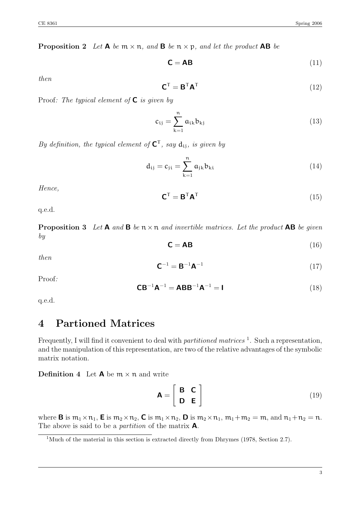**Proposition 2** Let  $\mathbf{A}$  be  $\mathbf{m} \times \mathbf{n}$ , and  $\mathbf{B}$  be  $\mathbf{n} \times \mathbf{p}$ , and let the product  $\mathbf{AB}$  be

$$
C = AB
$$
 (11)

*then*

$$
\mathbf{C}^{\mathsf{T}} = \mathbf{B}^{\mathsf{T}} \mathbf{A}^{\mathsf{T}} \tag{12}
$$

Proof*: The typical element of* C *is given by*

$$
c_{ij} = \sum_{k=1}^{n} a_{ik} b_{kj}
$$
 (13)

*By definition, the typical element of*  $C^T$ *, say*  $d_{ij}$ *, is given by* 

$$
d_{ij} = c_{ji} = \sum_{k=1}^{n} a_{jk} b_{ki}
$$
 (14)

*Hence,*

$$
\mathbf{C}^{\mathsf{T}} = \mathbf{B}^{\mathsf{T}} \mathbf{A}^{\mathsf{T}} \tag{15}
$$

q.e.d.

**Proposition 3** Let  $A$  and  $B$  be  $n \times n$  and invertible matrices. Let the product  $AB$  be given *by*

$$
\mathbf{C} = \mathbf{AB} \tag{16}
$$

*then*

$$
C^{-1} = B^{-1}A^{-1}
$$
 (17)

Proof*:*

$$
CB^{-1}A^{-1} = ABB^{-1}A^{-1} = I
$$
\n(18)

q.e.d.

# 4 Partioned Matrices

Frequently, I will find it convenient to deal with *partitioned matrices* <sup>1</sup>. Such a representation, and the manipulation of this representation, are two of the relative advantages of the symbolic matrix notation.

**Definition 4** Let  $A$  be  $m \times n$  and write

$$
\mathbf{A} = \begin{bmatrix} \mathbf{B} & \mathbf{C} \\ \mathbf{D} & \mathbf{E} \end{bmatrix}
$$
 (19)

where **B** is  $m_1 \times n_1$ , **E** is  $m_2 \times n_2$ , **C** is  $m_1 \times n_2$ , **D** is  $m_2 \times n_1$ ,  $m_1 + m_2 = m$ , and  $n_1 + n_2 = n$ . The above is said to be a *partition* of the matrix A.

<sup>&</sup>lt;sup>1</sup>Much of the material in this section is extracted directly from Dhrymes (1978, Section 2.7).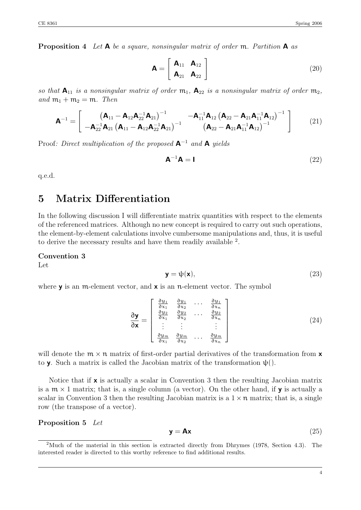Proposition 4 *Let* A *be a square, nonsingular matrix of order* m*. Partition* A *as*

$$
\mathbf{A} = \begin{bmatrix} \mathbf{A}_{11} & \mathbf{A}_{12} \\ \mathbf{A}_{21} & \mathbf{A}_{22} \end{bmatrix}
$$
 (20)

*so that*  $A_{11}$  *is a nonsingular matrix of order*  $m_1$ ,  $A_{22}$  *is a nonsingular matrix of order*  $m_2$ ,  $and m_1 + m_2 = m$ *. Then* 

$$
\mathbf{A}^{-1} = \begin{bmatrix} (\mathbf{A}_{11} - \mathbf{A}_{12} \mathbf{A}_{22}^{-1} \mathbf{A}_{21})^{-1} & -\mathbf{A}_{11}^{-1} \mathbf{A}_{12} (\mathbf{A}_{22} - \mathbf{A}_{21} \mathbf{A}_{11}^{-1} \mathbf{A}_{12})^{-1} \\ -\mathbf{A}_{22}^{-1} \mathbf{A}_{21} (\mathbf{A}_{11} - \mathbf{A}_{12} \mathbf{A}_{22}^{-1} \mathbf{A}_{21})^{-1} & (\mathbf{A}_{22} - \mathbf{A}_{21} \mathbf{A}_{11}^{-1} \mathbf{A}_{12})^{-1} \end{bmatrix}
$$
(21)

Proof*: Direct multiplication of the proposed* A-<sup>1</sup> *and* A *yields*

$$
\mathbf{A}^{-1}\mathbf{A} = \mathbf{I} \tag{22}
$$

q.e.d.

# 5 Matrix Differentiation

In the following discussion I will differentiate matrix quantities with respect to the elements of the referenced matrices. Although no new concept is required to carry out such operations, the element-by-element calculations involve cumbersome manipulations and, thus, it is useful to derive the necessary results and have them readily available <sup>2</sup>.

Convention 3

Let

$$
y = \psi(x),\tag{23}
$$

where  $\mathbf y$  is an m-element vector, and  $\mathbf x$  is an n-element vector. The symbol

$$
\frac{\partial \mathbf{y}}{\partial \mathbf{x}} = \begin{bmatrix} \frac{\partial y_1}{\partial x_1} & \frac{\partial y_1}{\partial x_2} & \cdots & \frac{\partial y_1}{\partial x_n} \\ \frac{\partial y_2}{\partial x_1} & \frac{\partial y_2}{\partial x_2} & \cdots & \frac{\partial y_2}{\partial x_n} \\ \vdots & \vdots & & \vdots \\ \frac{\partial y_m}{\partial x_1} & \frac{\partial y_m}{\partial x_2} & \cdots & \frac{\partial y_m}{\partial x_n} \end{bmatrix}
$$
(24)

will denote the  $m \times n$  matrix of first-order partial derivatives of the transformation from  $x$ to **y**. Such a matrix is called the Jacobian matrix of the transformation  $\psi$ .

Notice that if x is actually a scalar in Convention 3 then the resulting Jacobian matrix is a  $m \times 1$  matrix; that is, a single column (a vector). On the other hand, if **y** is actually a scalar in Convention 3 then the resulting Jacobian matrix is a  $1 \times n$  matrix; that is, a single row (the transpose of a vector).

#### Proposition 5 *Let*

$$
y = Ax \tag{25}
$$

<sup>2</sup>Much of the material in this section is extracted directly from Dhrymes (1978, Section 4.3). The interested reader is directed to this worthy reference to find additional results.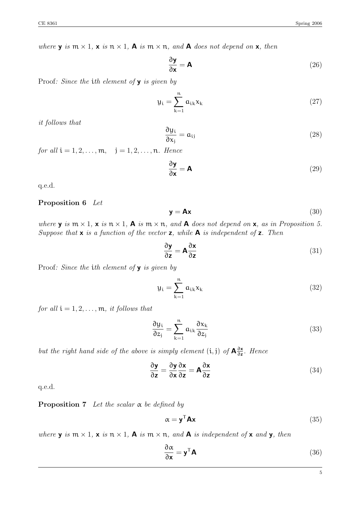*where* **y** *is*  $m \times 1$ *,* **x** *is*  $n \times 1$ *,* **A** *is*  $m \times n$ *, and* **A** *does not depend on* **x***, then* 

$$
\frac{\partial \mathbf{y}}{\partial \mathbf{x}} = \mathbf{A} \tag{26}
$$

Proof*: Since the* i*th element of* y *is given by*

$$
y_i = \sum_{k=1}^{n} a_{ik} x_k
$$
 (27)

*it follows that*

$$
\frac{\partial y_i}{\partial x_j} = a_{ij} \tag{28}
$$

*for all*  $i = 1, 2, ..., m$ ,  $j = 1, 2, ..., n$ *. Hence* 

$$
\frac{\partial \mathbf{y}}{\partial \mathbf{x}} = \mathbf{A} \tag{29}
$$

q.e.d.

#### Proposition 6 *Let*

$$
y = Ax \tag{30}
$$

*where*  $\mathbf{y}$  *is*  $\mathbf{m} \times 1$ ,  $\mathbf{x}$  *is*  $\mathbf{n} \times 1$ ,  $\mathbf{A}$  *is*  $\mathbf{m} \times \mathbf{n}$ , *and*  $\mathbf{A}$  *does not depend on*  $\mathbf{x}$ , *as in Proposition 5. Suppose that* x *is a function of the vector* z*, while* A *is independent of* z*. Then*

$$
\frac{\partial y}{\partial z} = A \frac{\partial x}{\partial z} \tag{31}
$$

Proof*: Since the* i*th element of* y *is given by*

$$
y_i = \sum_{k=1}^{n} a_{ik} x_k
$$
 (32)

*for all*  $i = 1, 2, \ldots, m$ *, it follows that* 

$$
\frac{\partial y_i}{\partial z_j} = \sum_{k=1}^n a_{ik} \frac{\partial x_k}{\partial z_j} \tag{33}
$$

*but the right hand side of the above is simply element*  $(i, j)$  *of*  $A\frac{\partial x}{\partial z}$ *. Hence* 

$$
\frac{\partial y}{\partial z} = \frac{\partial y}{\partial x} \frac{\partial x}{\partial z} = A \frac{\partial x}{\partial z}
$$
(34)

q.e.d.

**Proposition 7** Let the scalar  $\alpha$  be defined by

$$
\alpha = \mathbf{y}^{\mathsf{T}} \mathbf{A} \mathbf{x} \tag{35}
$$

*where* **y** *is*  $m \times 1$ , **x** *is*  $n \times 1$ , **A** *is*  $m \times n$ , *and* **A** *is independent of* **x** *and* **y**, *then* 

$$
\frac{\partial \alpha}{\partial \mathbf{x}} = \mathbf{y}^{\mathsf{T}} \mathbf{A} \tag{36}
$$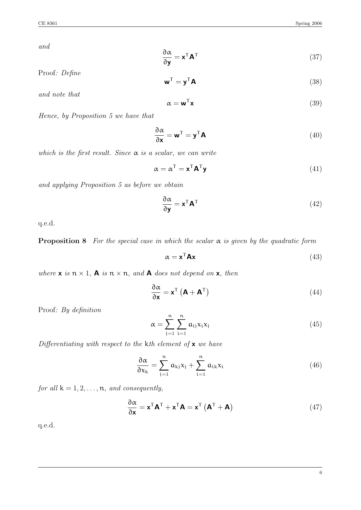*and*

$$
\frac{\partial \alpha}{\partial \mathbf{y}} = \mathbf{x}^{\mathsf{T}} \mathbf{A}^{\mathsf{T}}
$$
 (37)

Proof*: Define*

$$
\mathbf{w}^{\mathsf{T}} = \mathbf{y}^{\mathsf{T}} \mathbf{A} \tag{38}
$$

*and note that*

$$
\alpha = \mathbf{w}^{\mathsf{T}} \mathbf{x} \tag{39}
$$

*Hence, by Proposition 5 we have that*

$$
\frac{\partial \alpha}{\partial \mathbf{x}} = \mathbf{w}^{\mathsf{T}} = \mathbf{y}^{\mathsf{T}} \mathbf{A}
$$
 (40)

*which is the first result. Since*  $\alpha$  *is a scalar, we can write* 

$$
\alpha = \alpha^{\mathsf{T}} = \mathbf{x}^{\mathsf{T}} \mathbf{A}^{\mathsf{T}} \mathbf{y}
$$
(41)

*and applying Proposition 5 as before we obtain*

$$
\frac{\partial \alpha}{\partial \mathbf{y}} = \mathbf{x}^{\mathsf{T}} \mathbf{A}^{\mathsf{T}}
$$
(42)

q.e.d.

**Proposition 8** For the special case in which the scalar  $\alpha$  is given by the quadratic form

$$
\alpha = \mathbf{x}^{\mathsf{T}} \mathbf{A} \mathbf{x} \tag{43}
$$

*where*  $x$  *is*  $n \times 1$ , **A** *is*  $n \times n$ *, and* **A** *does not depend on*  $x$ *, then* 

$$
\frac{\partial \alpha}{\partial \mathbf{x}} = \mathbf{x}^{\mathsf{T}} \left( \mathbf{A} + \mathbf{A}^{\mathsf{T}} \right)
$$
(44)

Proof*: By definition*

$$
\alpha = \sum_{j=1}^{n} \sum_{i=1}^{n} a_{ij} x_i x_j \tag{45}
$$

*Differentiating with respect to the kth element of* x *we have* 

$$
\frac{\partial \alpha}{\partial x_k} = \sum_{j=1}^n a_{kj} x_j + \sum_{i=1}^n a_{ik} x_i
$$
 (46)

*for all*  $k = 1, 2, ..., n$ *, and consequently,* 

$$
\frac{\partial \alpha}{\partial \mathbf{x}} = \mathbf{x}^{\mathsf{T}} \mathbf{A}^{\mathsf{T}} + \mathbf{x}^{\mathsf{T}} \mathbf{A} = \mathbf{x}^{\mathsf{T}} \left( \mathbf{A}^{\mathsf{T}} + \mathbf{A} \right)
$$
(47)

q.e.d.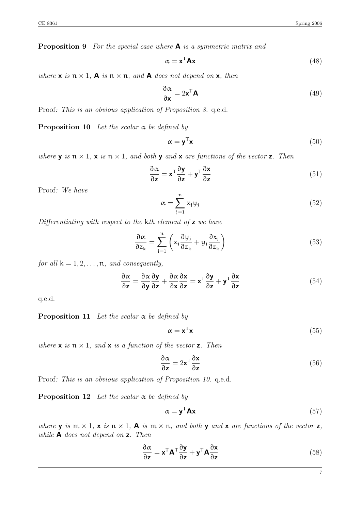Proposition 9 *For the special case where* A *is a symmetric matrix and*

$$
\alpha = \mathbf{x}^{\mathsf{T}} \mathbf{A} \mathbf{x} \tag{48}
$$

*where*  $\times$  *is*  $n \times 1$ *,*  $\mathbf{A}$  *is*  $n \times n$ *, and*  $\mathbf{A}$  *does not depend on*  $\times$ *, then* 

$$
\frac{\partial \alpha}{\partial \mathbf{x}} = 2\mathbf{x}^{\mathsf{T}} \mathbf{A}
$$
 (49)

Proof*: This is an obvious application of Proposition 8.* q.e.d.

**Proposition 10** Let the scalar  $\alpha$  be defined by

$$
\alpha = \mathbf{y}^{\mathsf{T}} \mathbf{x} \tag{50}
$$

*where* **y** *is*  $n \times 1$ , **x** *is*  $n \times 1$ *, and both* **y** *and* **x** *are functions of the vector* **z**. Then

$$
\frac{\partial \alpha}{\partial z} = \mathbf{x}^{\mathsf{T}} \frac{\partial \mathbf{y}}{\partial z} + \mathbf{y}^{\mathsf{T}} \frac{\partial \mathbf{x}}{\partial z}
$$
(51)

Proof*: We have*

$$
\alpha = \sum_{j=1}^{n} x_j y_j \tag{52}
$$

*Differentiating with respect to the kth element of* z *we have* 

$$
\frac{\partial \alpha}{\partial z_k} = \sum_{j=1}^n \left( x_j \frac{\partial y_j}{\partial z_k} + y_j \frac{\partial x_j}{\partial z_k} \right) \tag{53}
$$

*for all*  $k = 1, 2, ..., n$ *, and consequently,* 

$$
\frac{\partial \alpha}{\partial z} = \frac{\partial \alpha}{\partial y} \frac{\partial y}{\partial z} + \frac{\partial \alpha}{\partial x} \frac{\partial x}{\partial z} = \mathbf{x}^{\mathsf{T}} \frac{\partial y}{\partial z} + \mathbf{y}^{\mathsf{T}} \frac{\partial x}{\partial z}
$$
(54)

q.e.d.

**Proposition 11** Let the scalar  $\alpha$  be defined by

$$
\alpha = \mathbf{x}^{\mathsf{T}} \mathbf{x} \tag{55}
$$

*where*  $\times$  *is*  $n \times 1$ *, and*  $\times$  *is a function of the vector*  $\times$ *. Then* 

$$
\frac{\partial \alpha}{\partial z} = 2x^{\mathsf{T}} \frac{\partial x}{\partial z} \tag{56}
$$

Proof*: This is an obvious application of Proposition 10.* q.e.d.

**Proposition 12** Let the scalar  $\alpha$  be defined by

$$
\alpha = \mathbf{y}^{\mathsf{T}} \mathbf{A} \mathbf{x} \tag{57}
$$

*where* **y** *is*  $m \times 1$ , **x** *is*  $n \times 1$ , **A** *is*  $m \times n$ , *and both* **y** *and* **x** *are functions of the vector* **z**, *while* A *does not depend on* z*. Then*

$$
\frac{\partial \alpha}{\partial z} = \mathbf{x}^{\mathsf{T}} \mathbf{A}^{\mathsf{T}} \frac{\partial \mathbf{y}}{\partial z} + \mathbf{y}^{\mathsf{T}} \mathbf{A} \frac{\partial \mathbf{x}}{\partial z}
$$
(58)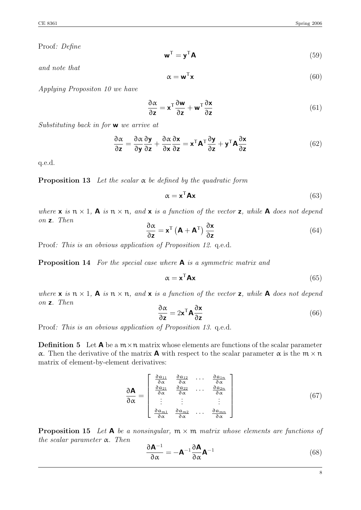Proof*: Define*

$$
\mathbf{w}^{\mathsf{T}} = \mathbf{y}^{\mathsf{T}} \mathbf{A} \tag{59}
$$

*and note that*

$$
\alpha = \mathbf{w}^{\mathsf{T}} \mathbf{x} \tag{60}
$$

*Applying Propositon 10 we have*

$$
\frac{\partial \alpha}{\partial z} = \mathbf{x}^{\mathsf{T}} \frac{\partial \mathbf{w}}{\partial z} + \mathbf{w}^{\mathsf{T}} \frac{\partial \mathbf{x}}{\partial z}
$$
(61)

*Substituting back in for* w *we arrive at*

$$
\frac{\partial \alpha}{\partial z} = \frac{\partial \alpha}{\partial y} \frac{\partial y}{\partial z} + \frac{\partial \alpha}{\partial x} \frac{\partial x}{\partial z} = \mathbf{x}^{\mathsf{T}} \mathbf{A}^{\mathsf{T}} \frac{\partial y}{\partial z} + \mathbf{y}^{\mathsf{T}} \mathbf{A} \frac{\partial x}{\partial z}
$$
(62)

q.e.d.

**Proposition 13** Let the scalar  $\alpha$  be defined by the quadratic form

$$
\alpha = \mathbf{x}^{\mathsf{T}} \mathbf{A} \mathbf{x} \tag{63}
$$

*where*  $\times$  *is*  $n \times 1$ ,  $\mathbf{A}$  *is*  $n \times n$ , and  $\mathbf{x}$  *is a function of the vector*  $\mathbf{z}$ , while  $\mathbf{A}$  does not depend *on* z*. Then*

$$
\frac{\partial \alpha}{\partial z} = \mathbf{x}^{\mathsf{T}} \left( \mathbf{A} + \mathbf{A}^{\mathsf{T}} \right) \frac{\partial \mathbf{x}}{\partial z}
$$
(64)

Proof*: This is an obvious application of Proposition 12.* q.e.d.

Proposition 14 *For the special case where* A *is a symmetric matrix and*

$$
\alpha = \mathbf{x}^{\mathsf{T}} \mathbf{A} \mathbf{x} \tag{65}
$$

*where*  $\times$  *is*  $n \times 1$ ,  $\mathbf{A}$  *is*  $n \times n$ , and  $\mathbf{x}$  *is a function of the vector*  $\mathbf{z}$ , while  $\mathbf{A}$  does not depend *on* z*. Then*

$$
\frac{\partial \alpha}{\partial z} = 2 \mathbf{x}^{\mathsf{T}} \mathbf{A} \frac{\partial \mathbf{x}}{\partial z}
$$
 (66)

Proof*: This is an obvious application of Proposition 13.* q.e.d.

**Definition 5** Let  $\bf{A}$  be a  $m \times n$  matrix whose elements are functions of the scalar parameter  $\alpha$ . Then the derivative of the matrix **A** with respect to the scalar parameter  $\alpha$  is the  $m \times n$ matrix of element-by-element derivatives:

$$
\frac{\partial \mathbf{A}}{\partial \alpha} = \begin{bmatrix} \frac{\partial a_{11}}{\partial \alpha} & \frac{\partial a_{12}}{\partial \alpha} & \cdots & \frac{\partial a_{1n}}{\partial \alpha} \\ \frac{\partial a_{21}}{\partial \alpha} & \frac{\partial a_{22}}{\partial \alpha} & \cdots & \frac{\partial a_{2n}}{\partial \alpha} \\ \vdots & \vdots & & \vdots \\ \frac{\partial a_{m1}}{\partial \alpha} & \frac{\partial a_{m2}}{\partial \alpha} & \cdots & \frac{\partial a_{mn}}{\partial \alpha} \end{bmatrix}
$$
(67)

**Proposition 15** Let  $A$  be a nonsingular,  $m \times m$  matrix whose elements are functions of *the scalar parameter*  $\alpha$ *. Then* 

$$
\frac{\partial \mathbf{A}^{-1}}{\partial \alpha} = -\mathbf{A}^{-1} \frac{\partial \mathbf{A}}{\partial \alpha} \mathbf{A}^{-1}
$$
(68)